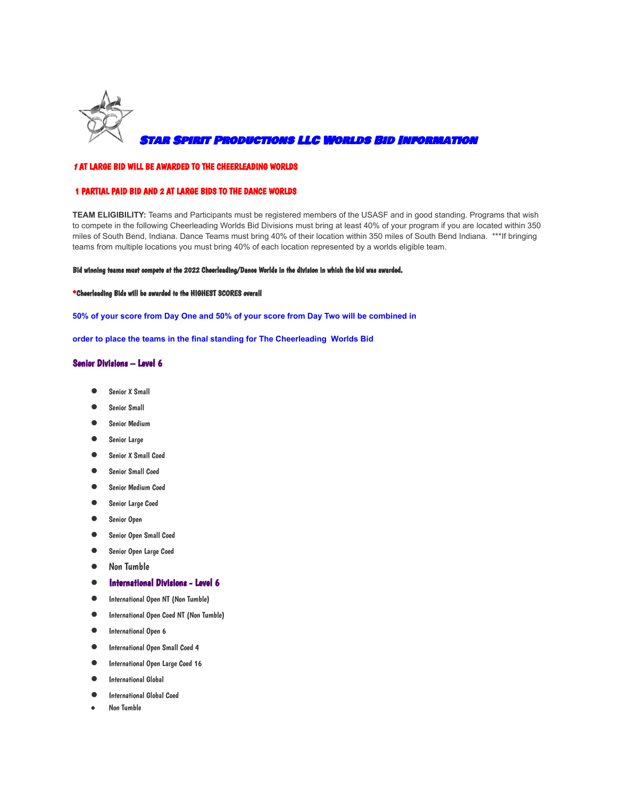

Star Spirit Productions LLC Worlds Bid Information

## <sup>1</sup> AT LARGE BID WILL BE AWARDED TO THE CHEERLEADING WORLDS

## 1 PARTIAL PAID BID AND 2 AT LARGE BIDS TO THE DANCE WORLDS

**TEAM ELIGIBILITY:** Teams and Participants must be registered members of the USASF and in good standing. Programs that wish to compete in the following Cheerleading Worlds Bid Divisions must bring at least 40% of your program if you are located within 350 miles of South Bend, Indiana. Dance Teams must bring 40% of their location within 350 miles of South Bend Indiana. \*\*\*If bringing teams from multiple locations you must bring 40% of each location represented by a worlds eligible team.

#### Bid winning teams must compete at the 2022 Cheerleading/Dance Worlds in the division in which the bid was awarded.

### \*Cheerleading Bids will be awarded to the HIGHEST SCORES overall

**50% of your score from Day One and 50% of your score from Day Two will be combined in**

**order to place the teams in the final standing for The Cheerleading Worlds Bid**

## Senior Divisions – Level 6

- Senior X Small
- Senior Small
- Senior Medium
- Senior Large
- Senior X Small Coed
- Senior Small Coed
- Senior Medium Coed
- Senior Large Coed
- Senior Open
- Senior Open Small Coed
- Senior Open Large Coed
- Non Tumble
- International Divisions Level 6
- International Open NT (Non Tumble)
- International Open Coed NT (Non Tumble)
- International Open <sup>6</sup>
- International Open Small Coed <sup>4</sup>
- International Open Large Coed <sup>16</sup>
- **International Global**
- **International Global Coed**
- **Non Tumble**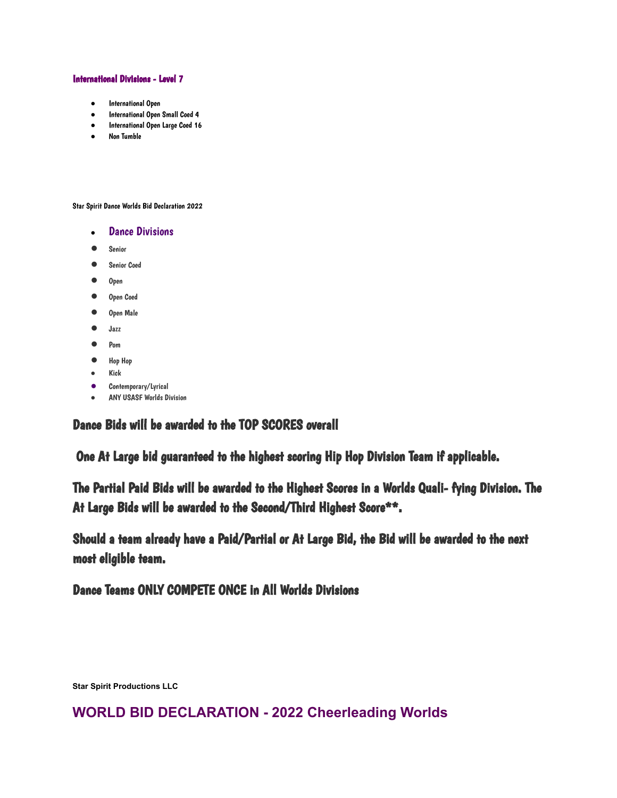## International Divisions - Level 7

- International Open
- International Open Small Coed 4
- International Open Large Coed 16
- Non Tumble

Star Spirit Dance Worlds Bid Declaration 2022

- Dance Divisions
- Senior
- Senior Coed
- Open
- Open Coed
- Open Male
- Jazz
- Pom
- Hop Hop
- Kick
- Contemporary/Lyrical
- ANY USASF Worlds Division

Dance Bids will be awarded to the TOP SCORES overall

One At Large bid guaranteed to the highest scoring Hip Hop Division Team if applicable.

The Partial Paid Bids will be awarded to the Highest Scores in a Worlds Quali- fying Division. The At Large Bids will be awarded to the Second/Third Highest Score\*\*.

Should a team already have a Paid/Partial or At Large Bid, the Bid will be awarded to the next most eligible team.

Dance Teams ONLY COMPETE ONCE in All Worlds Divisions

**Star Spirit Productions LLC**

# **WORLD BID DECLARATION - 2022 Cheerleading Worlds**